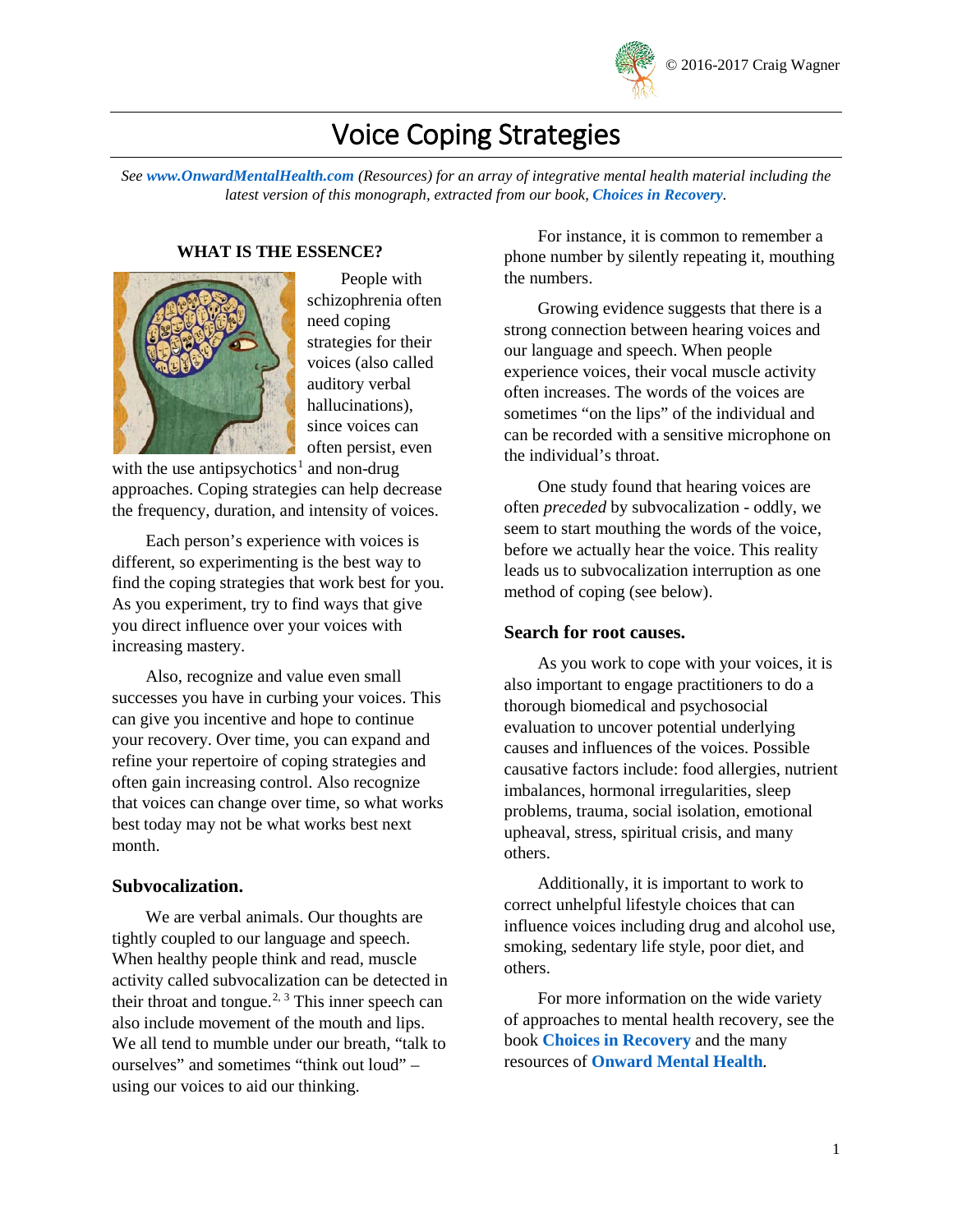

# Voice Coping Strategies

*See [www.OnwardMentalHealth.com](http://www.onwardmentalhealth.com/) (Resources) for an array of integrative mental health material including the latest version of this monograph, extracted from our book, [Choices in Recovery](https://www.amazon.com/Choices-Recovery-Non-drug-Approaches-Evidence-Based/dp/0996608001/ref=sr_1_1?ie=UTF8&qid=1460929127&sr=8-1&keywords=%22choices+in+recovery%22).*

#### **WHAT IS THE ESSENCE?**



People with schizophrenia often need coping strategies for their voices (also called auditory verbal hallucinations), since voices can often persist, even

with the use antipsychotics<sup>[1](#page-8-0)</sup> and non-drug approaches. Coping strategies can help decrease the frequency, duration, and intensity of voices.

Each person's experience with voices is different, so experimenting is the best way to find the coping strategies that work best for you. As you experiment, try to find ways that give you direct influence over your voices with increasing mastery.

Also, recognize and value even small successes you have in curbing your voices. This can give you incentive and hope to continue your recovery. Over time, you can expand and refine your repertoire of coping strategies and often gain increasing control. Also recognize that voices can change over time, so what works best today may not be what works best next month.

#### **Subvocalization.**

We are verbal animals. Our thoughts are tightly coupled to our language and speech. When healthy people think and read, muscle activity called subvocalization can be detected in their throat and tongue.<sup>[2,](#page-8-1) [3](#page-8-2)</sup> This inner speech can also include movement of the mouth and lips. We all tend to mumble under our breath, "talk to ourselves" and sometimes "think out loud" – using our voices to aid our thinking.

For instance, it is common to remember a phone number by silently repeating it, mouthing the numbers.

Growing evidence suggests that there is a strong connection between hearing voices and our language and speech. When people experience voices, their vocal muscle activity often increases. The words of the voices are sometimes "on the lips" of the individual and can be recorded with a sensitive microphone on the individual's throat.

One study found that hearing voices are often *preceded* by subvocalization - oddly, we seem to start mouthing the words of the voice, before we actually hear the voice. This reality leads us to subvocalization interruption as one method of coping (see below).

#### **Search for root causes.**

As you work to cope with your voices, it is also important to engage practitioners to do a thorough biomedical and psychosocial evaluation to uncover potential underlying causes and influences of the voices. Possible causative factors include: food allergies, nutrient imbalances, hormonal irregularities, sleep problems, trauma, social isolation, emotional upheaval, stress, spiritual crisis, and many others.

Additionally, it is important to work to correct unhelpful lifestyle choices that can influence voices including drug and alcohol use, smoking, sedentary life style, poor diet, and others.

For more information on the wide variety of approaches to mental health recovery, see the book **[Choices in Recovery](https://www.amazon.com/Choices-Recovery-Non-drug-Approaches-Evidence-Based/dp/0996608001/ref=sr_1_1?ie=UTF8&qid=1507982583&sr=8-1&keywords=choices+in+recovery)** and the many resources of **[Onward Mental Health](http://www.onwardmentalhealth.com/)**.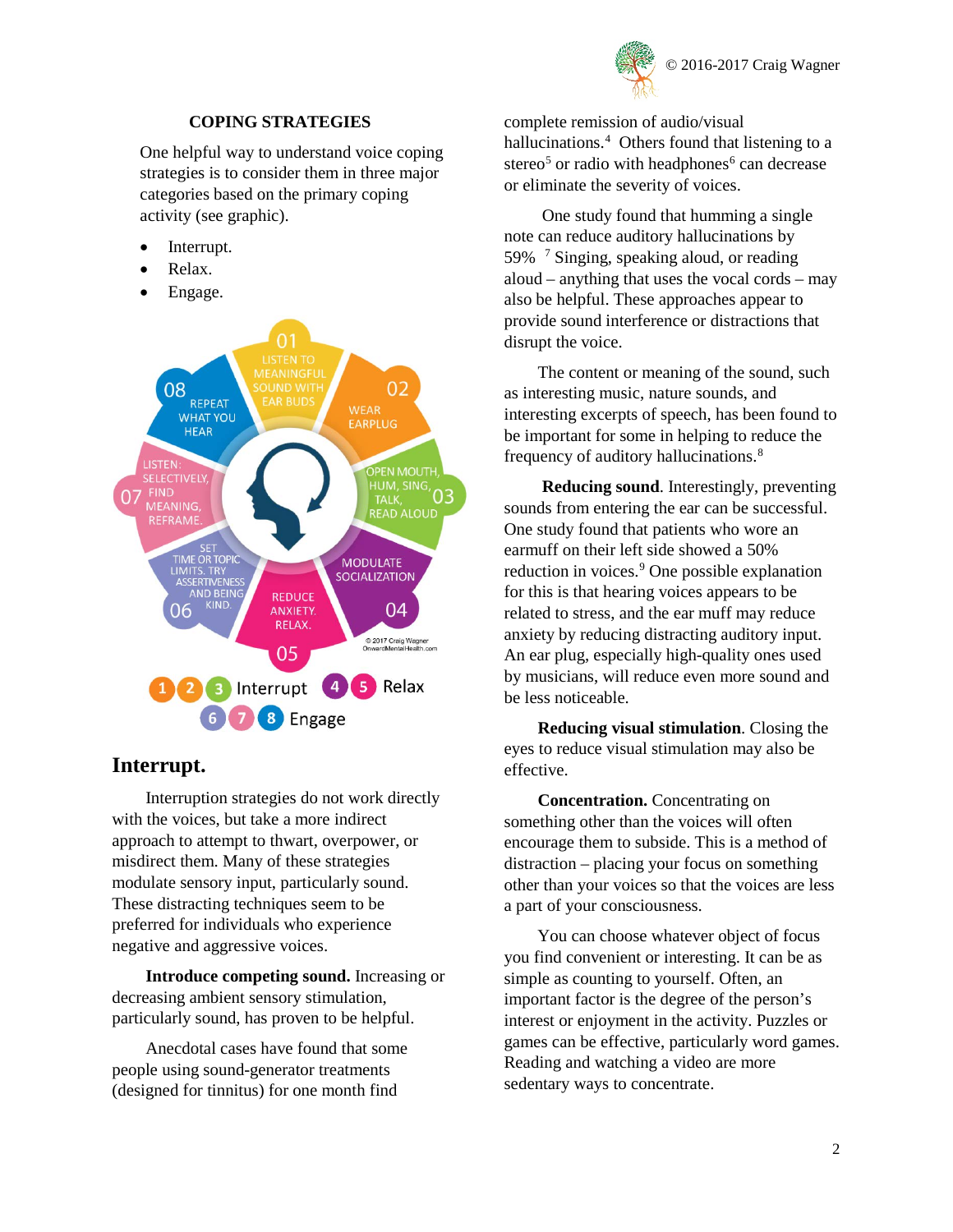

## **COPING STRATEGIES**

One helpful way to understand voice coping strategies is to consider them in three major categories based on the primary coping activity (see graphic).

- Interrupt.
- Relax.
- Engage.



## **Interrupt.**

Interruption strategies do not work directly with the voices, but take a more indirect approach to attempt to thwart, overpower, or misdirect them. Many of these strategies modulate sensory input, particularly sound. These distracting techniques seem to be preferred for individuals who experience negative and aggressive voices.

**Introduce competing sound.** Increasing or decreasing ambient sensory stimulation, particularly sound, has proven to be helpful.

Anecdotal cases have found that some people using sound-generator treatments (designed for tinnitus) for one month find

complete remission of audio/visual hallucinations.<sup>[4](#page-8-3)</sup> Others found that listening to a stereo<sup>[5](#page-8-4)</sup> or radio with headphones<sup>[6](#page-8-5)</sup> can decrease or eliminate the severity of voices.

One study found that humming a single note can reduce auditory hallucinations by 59% [7](#page-8-6) Singing, speaking aloud, or reading aloud – anything that uses the vocal cords – may also be helpful. These approaches appear to provide sound interference or distractions that disrupt the voice.

The content or meaning of the sound, such as interesting music, nature sounds, and interesting excerpts of speech, has been found to be important for some in helping to reduce the frequency of auditory hallucinations. [8](#page-8-7)

**Reducing sound**. Interestingly, preventing sounds from entering the ear can be successful. One study found that patients who wore an earmuff on their left side showed a 50% reduction in voices. [9](#page-8-8) One possible explanation for this is that hearing voices appears to be related to stress, and the ear muff may reduce anxiety by reducing distracting auditory input. An ear plug, especially high-quality ones used by musicians, will reduce even more sound and be less noticeable.

**Reducing visual stimulation**. Closing the eyes to reduce visual stimulation may also be effective.

**Concentration.** Concentrating on something other than the voices will often encourage them to subside. This is a method of distraction – placing your focus on something other than your voices so that the voices are less a part of your consciousness.

You can choose whatever object of focus you find convenient or interesting. It can be as simple as counting to yourself. Often, an important factor is the degree of the person's interest or enjoyment in the activity. Puzzles or games can be effective, particularly word games. Reading and watching a video are more sedentary ways to concentrate.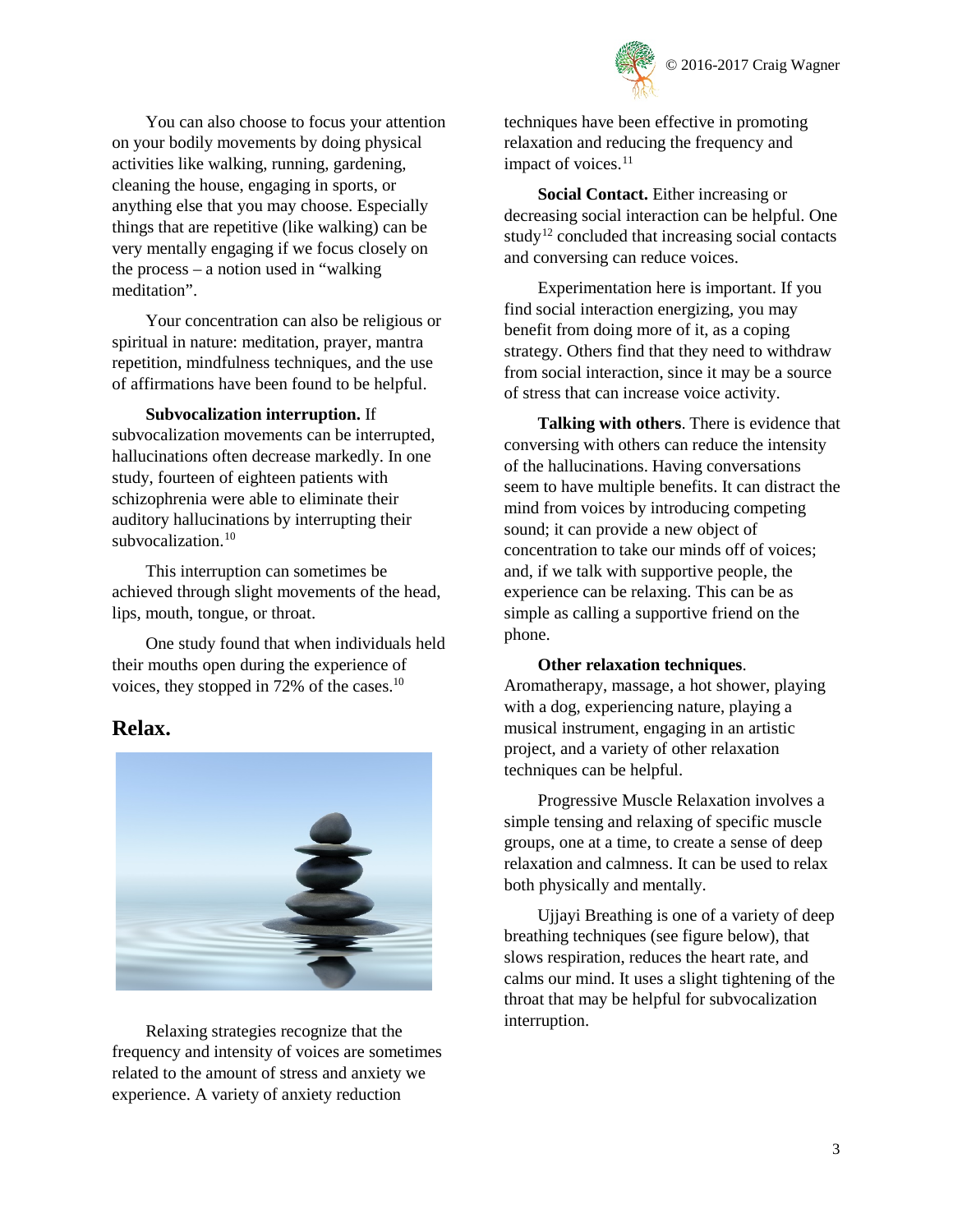

You can also choose to focus your attention on your bodily movements by doing physical activities like walking, running, gardening, cleaning the house, engaging in sports, or anything else that you may choose. Especially things that are repetitive (like walking) can be very mentally engaging if we focus closely on the process – a notion used in "walking meditation".

Your concentration can also be religious or spiritual in nature: meditation, prayer, mantra repetition, mindfulness techniques, and the use of affirmations have been found to be helpful.

**Subvocalization interruption.** If subvocalization movements can be interrupted, hallucinations often decrease markedly. In one study, fourteen of eighteen patients with schizophrenia were able to eliminate their auditory hallucinations by interrupting their subvocalization.<sup>[10](#page-8-9)</sup>

<span id="page-2-0"></span>This interruption can sometimes be achieved through slight movements of the head, lips, mouth, tongue, or throat.

One study found that when individuals held their mouths open during the experience of voices, they stopped in 72% of the cases.<sup>10</sup>

## **Relax.**



Relaxing strategies recognize that the frequency and intensity of voices are sometimes related to the amount of stress and anxiety we experience. A variety of anxiety reduction

techniques have been effective in promoting relaxation and reducing the frequency and impact of voices. $11$ 

**Social Contact.** Either increasing or decreasing social interaction can be helpful. One study<sup>12</sup> concluded that increasing social contacts and conversing can reduce voices.

Experimentation here is important. If you find social interaction energizing, you may benefit from doing more of it, as a coping strategy. Others find that they need to withdraw from social interaction, since it may be a source of stress that can increase voice activity.

**Talking with others**. There is evidence that conversing with others can reduce the intensity of the hallucinations. Having conversations seem to have multiple benefits. It can distract the mind from voices by introducing competing sound; it can provide a new object of concentration to take our minds off of voices; and, if we talk with supportive people, the experience can be relaxing. This can be as simple as calling a supportive friend on the phone.

#### **Other relaxation techniques**.

Aromatherapy, massage, a hot shower, playing with a dog, experiencing nature, playing a musical instrument, engaging in an artistic project, and a variety of other relaxation techniques can be helpful.

Progressive Muscle Relaxation involves a simple tensing and relaxing of specific muscle groups, one at a time, to create a sense of deep relaxation and calmness. It can be used to relax both physically and mentally.

Ujjayi Breathing is one of a variety of deep breathing techniques (see figure below), that slows respiration, reduces the heart rate, and calms our mind. It uses a slight tightening of the throat that may be helpful for subvocalization interruption.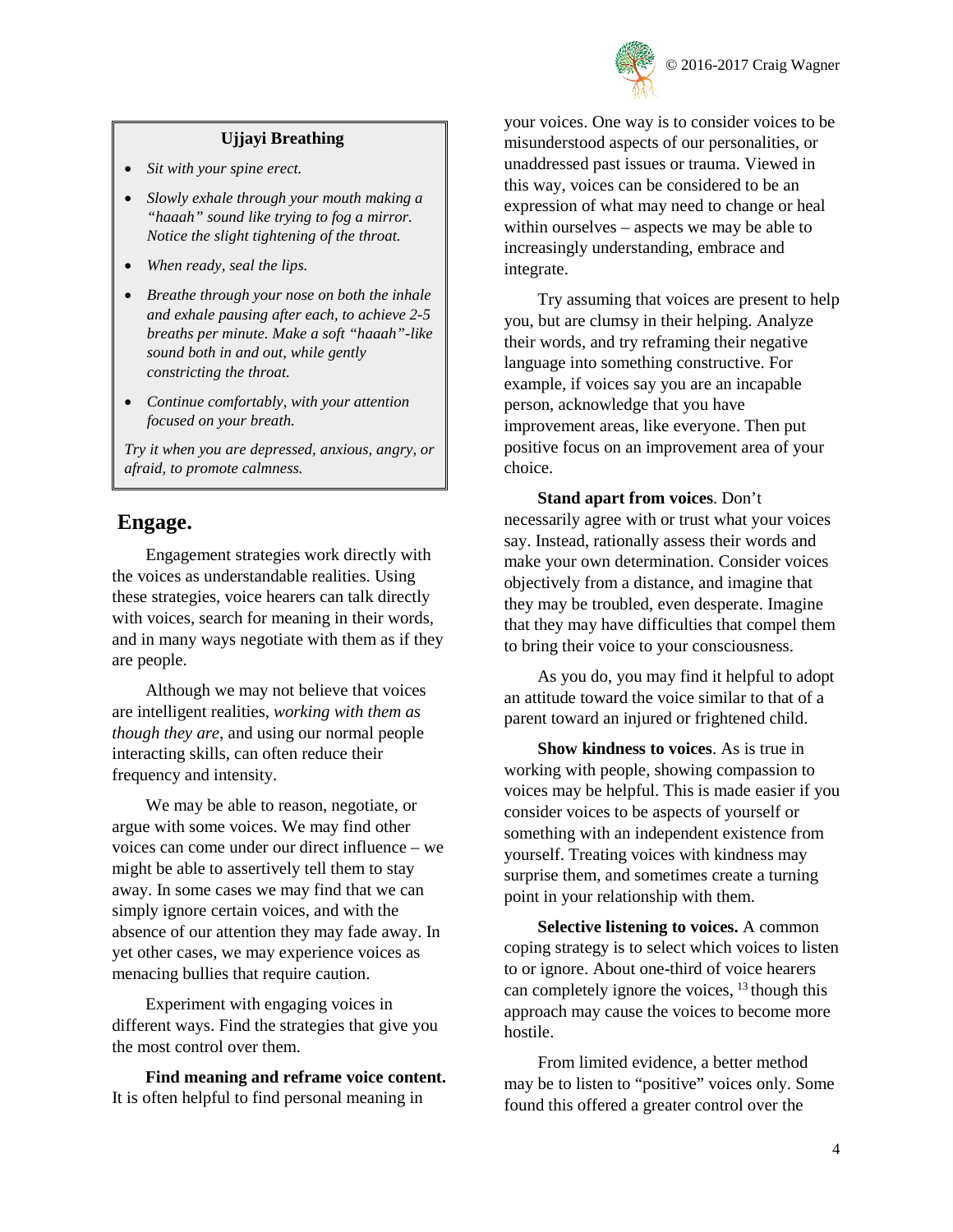

## **Ujjayi Breathing**

- *Sit with your spine erect.*
- *Slowly exhale through your mouth making a "haaah" sound like trying to fog a mirror. Notice the slight tightening of the throat.*
- *When ready, seal the lips.*
- *Breathe through your nose on both the inhale and exhale pausing after each, to achieve 2-5 breaths per minute. Make a soft "haaah"-like sound both in and out, while gently constricting the throat.*
- *Continue comfortably, with your attention focused on your breath.*

*Try it when you are depressed, anxious, angry, or afraid, to promote calmness.*

## **Engage.**

Engagement strategies work directly with the voices as understandable realities. Using these strategies, voice hearers can talk directly with voices, search for meaning in their words, and in many ways negotiate with them as if they are people.

Although we may not believe that voices are intelligent realities, *working with them as though they are*, and using our normal people interacting skills, can often reduce their frequency and intensity.

We may be able to reason, negotiate, or argue with some voices. We may find other voices can come under our direct influence – we might be able to assertively tell them to stay away. In some cases we may find that we can simply ignore certain voices, and with the absence of our attention they may fade away. In yet other cases, we may experience voices as menacing bullies that require caution.

Experiment with engaging voices in different ways. Find the strategies that give you the most control over them.

**Find meaning and reframe voice content.** It is often helpful to find personal meaning in

your voices. One way is to consider voices to be misunderstood aspects of our personalities, or unaddressed past issues or trauma. Viewed in this way, voices can be considered to be an expression of what may need to change or heal within ourselves – aspects we may be able to increasingly understanding, embrace and integrate.

Try assuming that voices are present to help you, but are clumsy in their helping. Analyze their words, and try reframing their negative language into something constructive. For example, if voices say you are an incapable person, acknowledge that you have improvement areas, like everyone. Then put positive focus on an improvement area of your choice.

**Stand apart from voices**. Don't necessarily agree with or trust what your voices say. Instead, rationally assess their words and make your own determination. Consider voices objectively from a distance, and imagine that they may be troubled, even desperate. Imagine that they may have difficulties that compel them to bring their voice to your consciousness.

As you do, you may find it helpful to adopt an attitude toward the voice similar to that of a parent toward an injured or frightened child.

**Show kindness to voices**. As is true in working with people, showing compassion to voices may be helpful. This is made easier if you consider voices to be aspects of yourself or something with an independent existence from yourself. Treating voices with kindness may surprise them, and sometimes create a turning point in your relationship with them.

<span id="page-3-0"></span>**Selective listening to voices.** A common coping strategy is to select which voices to listen to or ignore. About one-third of voice hearers can completely ignore the voices, <sup>[13](#page-8-12)</sup> though this approach may cause the voices to become more hostile.

From limited evidence, a better method may be to listen to "positive" voices only. Some found this offered a greater control over the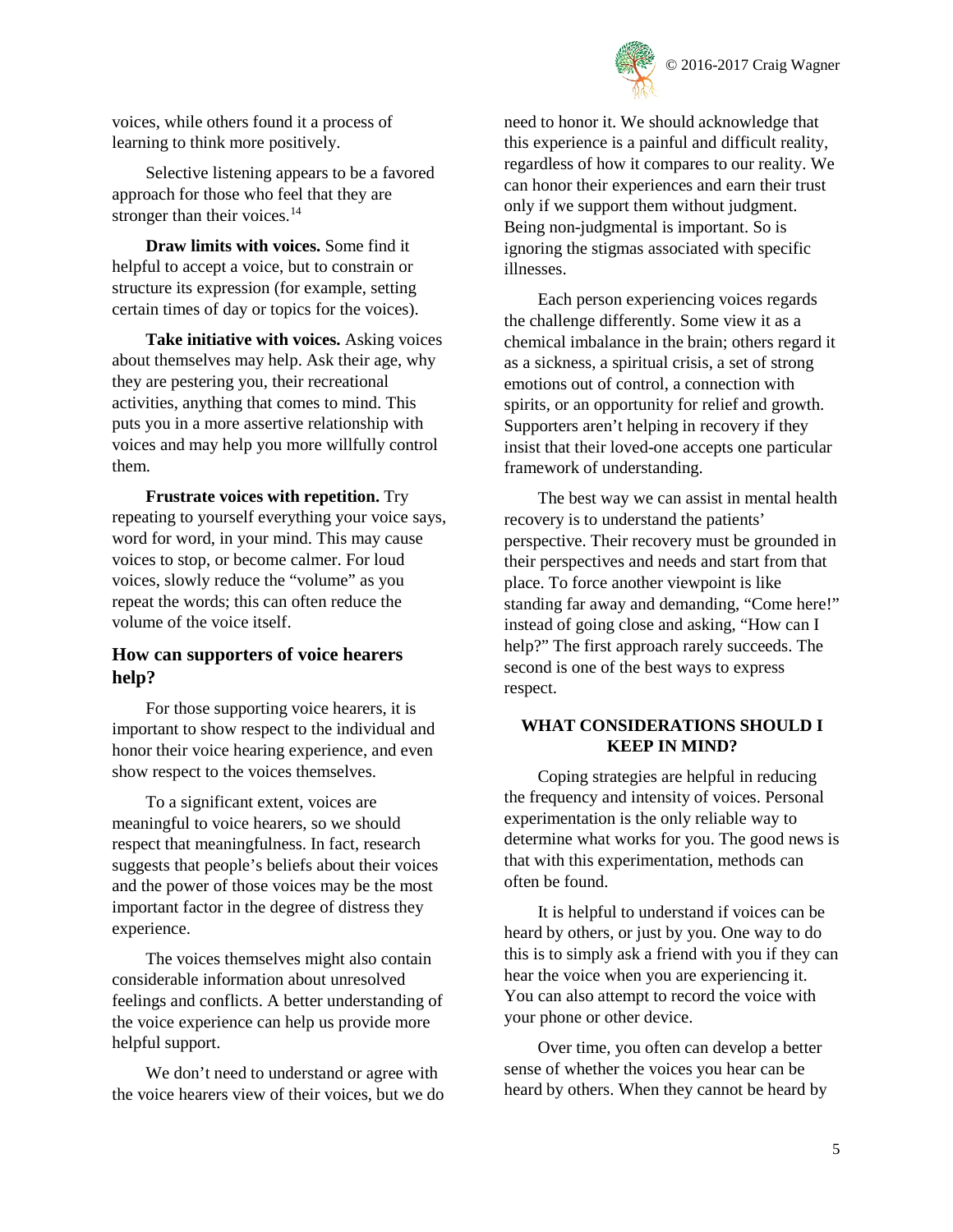

voices, while others found it a process of learning to think more positively.

Selective listening appears to be a favored approach for those who feel that they are stronger than their voices.<sup>[14](#page-8-13)</sup>

**Draw limits with voices.** Some find it helpful to accept a voice, but to constrain or structure its expression (for example, setting certain times of day or topics for the voices).

**Take initiative with voices.** Asking voices about themselves may help. Ask their age, why they are pestering you, their recreational activities, anything that comes to mind. This puts you in a more assertive relationship with voices and may help you more willfully control them.

**Frustrate voices with repetition.** Try repeating to yourself everything your voice says, word for word, in your mind. This may cause voices to stop, or become calmer. For loud voices, slowly reduce the "volume" as you repeat the words; this can often reduce the volume of the voice itself.

## **How can supporters of voice hearers help?**

For those supporting voice hearers, it is important to show respect to the individual and honor their voice hearing experience, and even show respect to the voices themselves.

To a significant extent, voices are meaningful to voice hearers, so we should respect that meaningfulness. In fact, research suggests that people's beliefs about their voices and the power of those voices may be the most important factor in the degree of distress they experience.

The voices themselves might also contain considerable information about unresolved feelings and conflicts. A better understanding of the voice experience can help us provide more helpful support.

We don't need to understand or agree with the voice hearers view of their voices, but we do need to honor it. We should acknowledge that this experience is a painful and difficult reality, regardless of how it compares to our reality. We can honor their experiences and earn their trust only if we support them without judgment. Being non-judgmental is important. So is ignoring the stigmas associated with specific illnesses.

Each person experiencing voices regards the challenge differently. Some view it as a chemical imbalance in the brain; others regard it as a sickness, a spiritual crisis, a set of strong emotions out of control, a connection with spirits, or an opportunity for relief and growth. Supporters aren't helping in recovery if they insist that their loved-one accepts one particular framework of understanding.

The best way we can assist in mental health recovery is to understand the patients' perspective. Their recovery must be grounded in their perspectives and needs and start from that place. To force another viewpoint is like standing far away and demanding, "Come here!" instead of going close and asking, "How can I help?" The first approach rarely succeeds. The second is one of the best ways to express respect.

## **WHAT CONSIDERATIONS SHOULD I KEEP IN MIND?**

Coping strategies are helpful in reducing the frequency and intensity of voices. Personal experimentation is the only reliable way to determine what works for you. The good news is that with this experimentation, methods can often be found.

It is helpful to understand if voices can be heard by others, or just by you. One way to do this is to simply ask a friend with you if they can hear the voice when you are experiencing it. You can also attempt to record the voice with your phone or other device.

Over time, you often can develop a better sense of whether the voices you hear can be heard by others. When they cannot be heard by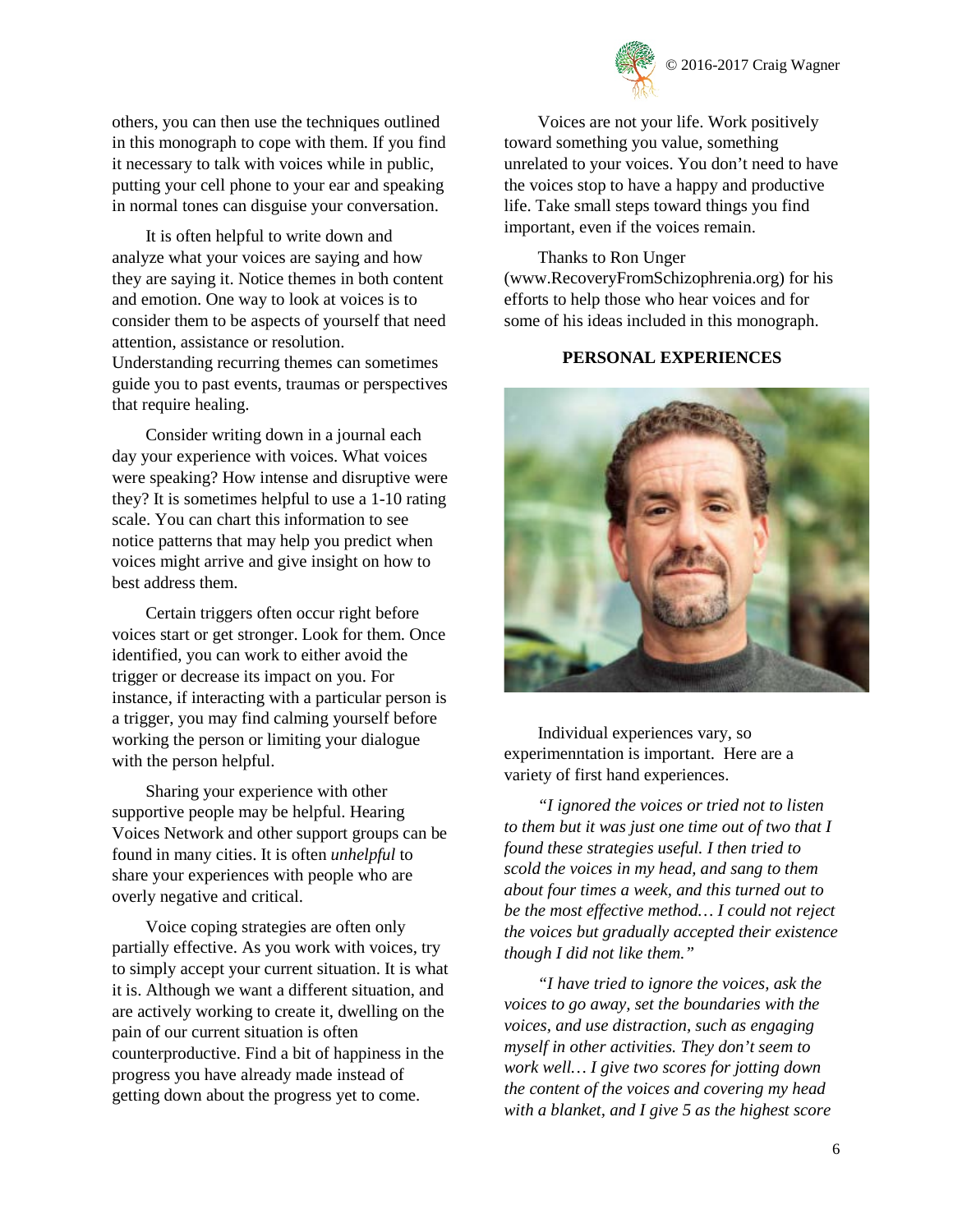

others, you can then use the techniques outlined in this monograph to cope with them. If you find it necessary to talk with voices while in public, putting your cell phone to your ear and speaking in normal tones can disguise your conversation.

It is often helpful to write down and analyze what your voices are saying and how they are saying it. Notice themes in both content and emotion. One way to look at voices is to consider them to be aspects of yourself that need attention, assistance or resolution. Understanding recurring themes can sometimes guide you to past events, traumas or perspectives that require healing.

Consider writing down in a journal each day your experience with voices. What voices were speaking? How intense and disruptive were they? It is sometimes helpful to use a 1-10 rating scale. You can chart this information to see notice patterns that may help you predict when voices might arrive and give insight on how to best address them.

Certain triggers often occur right before voices start or get stronger. Look for them. Once identified, you can work to either avoid the trigger or decrease its impact on you. For instance, if interacting with a particular person is a trigger, you may find calming yourself before working the person or limiting your dialogue with the person helpful.

Sharing your experience with other supportive people may be helpful. Hearing Voices Network and other support groups can be found in many cities. It is often *unhelpful* to share your experiences with people who are overly negative and critical.

Voice coping strategies are often only partially effective. As you work with voices, try to simply accept your current situation. It is what it is. Although we want a different situation, and are actively working to create it, dwelling on the pain of our current situation is often counterproductive. Find a bit of happiness in the progress you have already made instead of getting down about the progress yet to come.

Voices are not your life. Work positively toward something you value, something unrelated to your voices. You don't need to have the voices stop to have a happy and productive life. Take small steps toward things you find important, even if the voices remain.

#### Thanks to Ron Unger

[\(www.RecoveryFromSchizophrenia.org\)](http://www.recoveryfromschizophrenia.org/) for his efforts to help those who hear voices and for some of his ideas included in this monograph.

## **PERSONAL EXPERIENCES**



Individual experiences vary, so experimenntation is important. Here are a variety of first hand experiences.

*"I ignored the voices or tried not to listen to them but it was just one time out of two that I found these strategies useful. I then tried to scold the voices in my head, and sang to them about four times a week, and this turned out to be the most effective method… I could not reject the voices but gradually accepted their existence though I did not like them."*

*"I have tried to ignore the voices, ask the voices to go away, set the boundaries with the voices, and use distraction, such as engaging myself in other activities. They don't seem to work well… I give two scores for jotting down the content of the voices and covering my head with a blanket, and I give 5 as the highest score*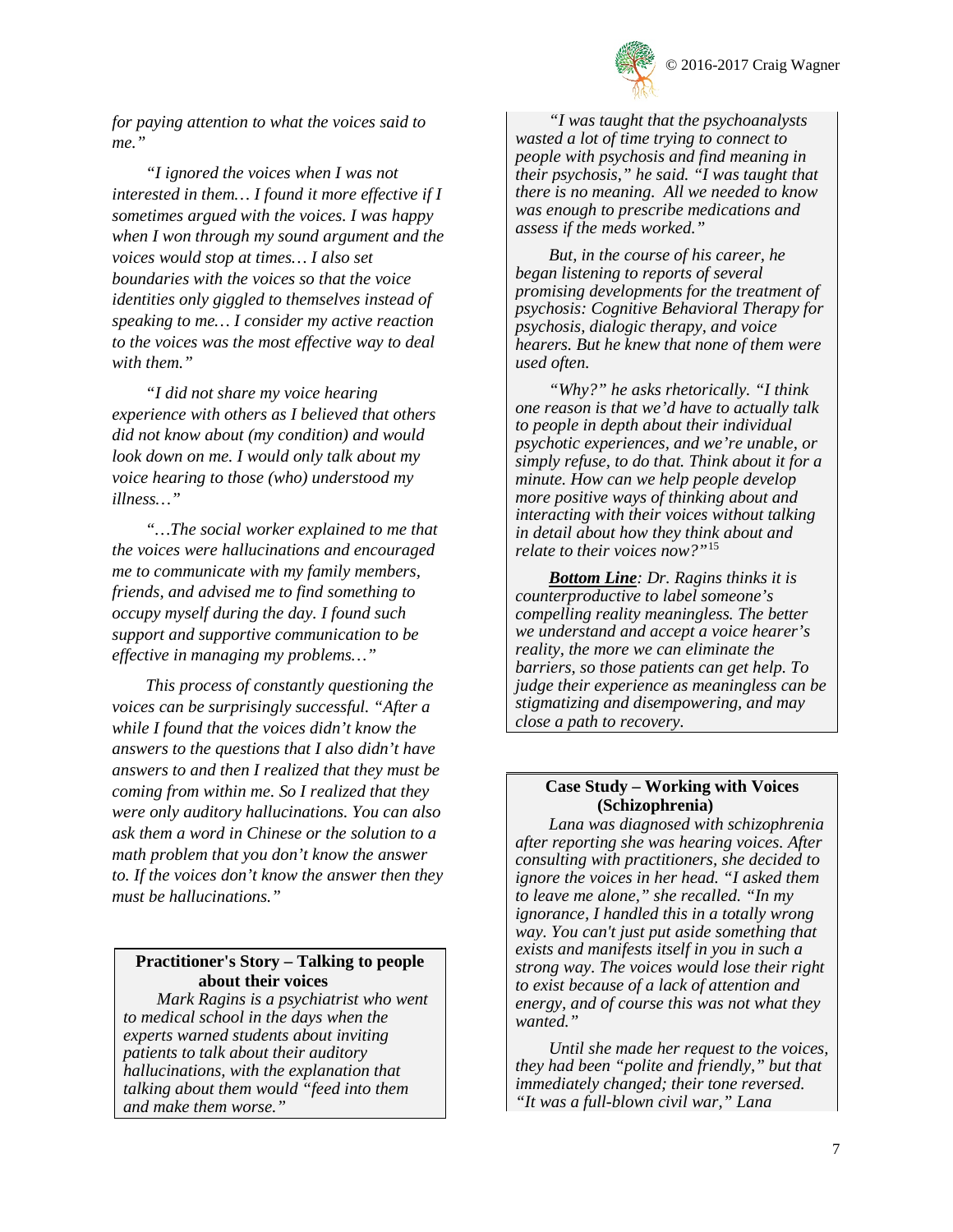

*for paying attention to what the voices said to me."*

*"I ignored the voices when I was not interested in them… I found it more effective if I sometimes argued with the voices. I was happy when I won through my sound argument and the voices would stop at times… I also set boundaries with the voices so that the voice identities only giggled to themselves instead of speaking to me… I consider my active reaction to the voices was the most effective way to deal with them."*

*"I did not share my voice hearing experience with others as I believed that others did not know about (my condition) and would look down on me. I would only talk about my voice hearing to those (who) understood my illness…"*

*"…The social worker explained to me that the voices were hallucinations and encouraged me to communicate with my family members, friends, and advised me to find something to occupy myself during the day. I found such support and supportive communication to be effective in managing my problems…"*

*This process of constantly questioning the voices can be surprisingly successful. "After a while I found that the voices didn't know the answers to the questions that I also didn't have answers to and then I realized that they must be coming from within me. So I realized that they were only auditory hallucinations. You can also ask them a word in Chinese or the solution to a math problem that you don't know the answer to. If the voices don't know the answer then they must be hallucinations."*

#### **Practitioner's Story – Talking to people**  about their voices

*Mark Ragins is a psychiatrist who went to medical school in the days when the experts warned students about inviting patients to talk about their auditory hallucinations, with the explanation that talking about them would "feed into them and make them worse."*

*"I was taught that the psychoanalysts wasted a lot of time trying to connect to people with psychosis and find meaning in their psychosis," he said. "I was taught that there is no meaning. All we needed to know was enough to prescribe medications and assess if the meds worked."*

*But, in the course of his career, he began listening to reports of several promising developments for the treatment of psychosis: Cognitive Behavioral Therapy for psychosis, dialogic therapy, and voice hearers. But he knew that none of them were used often.* 

*"Why?" he asks rhetorically. "I think one reason is that we'd have to actually talk to people in depth about their individual psychotic experiences, and we're unable, or simply refuse, to do that. Think about it for a minute. How can we help people develop more positive ways of thinking about and interacting with their voices without talking in detail about how they think about and relate to their voices now?"*[15](#page-8-14)

*Bottom Line: Dr. Ragins thinks it is counterproductive to label someone's compelling reality meaningless. The better we understand and accept a voice hearer's reality, the more we can eliminate the barriers, so those patients can get help. To judge their experience as meaningless can be stigmatizing and disempowering, and may close a path to recovery.*

#### **Case Study – Working with Voices (Schizophrenia)**

*Lana was diagnosed with schizophrenia after reporting she was hearing voices. After consulting with practitioners, she decided to ignore the voices in her head. "I asked them to leave me alone," she recalled. "In my ignorance, I handled this in a totally wrong way. You can't just put aside something that exists and manifests itself in you in such a strong way. The voices would lose their right to exist because of a lack of attention and energy, and of course this was not what they wanted."* 

*Until she made her request to the voices, they had been "polite and friendly," but that immediately changed; their tone reversed. "It was a full-blown civil war," Lana*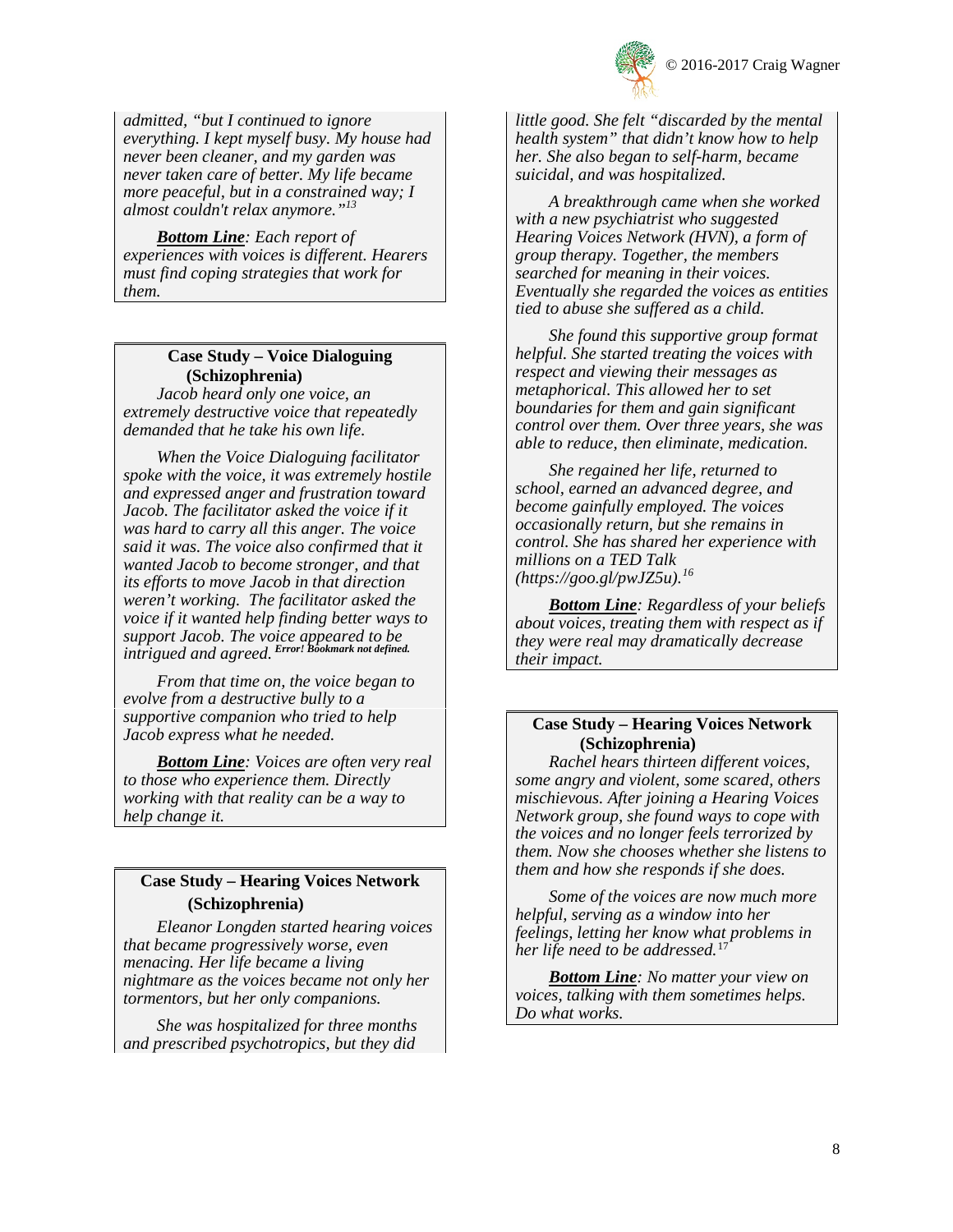

*admitted, "but I continued to ignore everything. I kept myself busy. My house had never been cleaner, and my garden was never taken care of better. My life became more peaceful, but in a constrained way; I almost couldn't relax anymore.["13](#page-3-0)*

*Bottom Line: Each report of experiences with voices is different. Hearers must find coping strategies that work for them.*

## **Case Study – Voice Dialoguing (Schizophrenia)**

*Jacob heard only one voice, an extremely destructive voice that repeatedly demanded that he take his own life.* 

*When the Voice Dialoguing facilitator spoke with the voice, it was extremely hostile and expressed anger and frustration toward Jacob. The facilitator asked the voice if it was hard to carry all this anger. The voice said it was. The voice also confirmed that it wanted Jacob to become stronger, and that its efforts to move Jacob in that direction weren't working. The facilitator asked the voice if it wanted help finding better ways to support Jacob. The voice appeared to be intrigued and agreed. Error! Bookmark not defined.*

*From that time on, the voice began to evolve from a destructive bully to a supportive companion who tried to help Jacob express what he needed.*

*Bottom Line: Voices are often very real to those who experience them. Directly working with that reality can be a way to help change it.*

## **Case Study – Hearing Voices Network (Schizophrenia)**

*Eleanor Longden started hearing voices that became progressively worse, even menacing. Her life became a living nightmare as the voices became not only her tormentors, but her only companions.* 

*She was hospitalized for three months and prescribed psychotropics, but they did*  *little good. She felt "discarded by the mental health system" that didn't know how to help her. She also began to self-harm, became suicidal, and was hospitalized.*

*A breakthrough came when she worked with a new psychiatrist who suggested Hearing Voices Network (HVN), a form of group therapy. Together, the members searched for meaning in their voices. Eventually she regarded the voices as entities tied to abuse she suffered as a child.* 

*She found this supportive group format helpful. She started treating the voices with respect and viewing their messages as metaphorical. This allowed her to set boundaries for them and gain significant control over them. Over three years, she was able to reduce, then eliminate, medication.*

*She regained her life, returned to school, earned an advanced degree, and become gainfully employed. The voices occasionally return, but she remains in control. She has shared her experience with millions on a TED Talk (https://goo.gl/pwJZ5u).[16](#page-8-15)*

*Bottom Line: Regardless of your beliefs about voices, treating them with respect as if they were real may dramatically decrease their impact.* 

## **Case Study – Hearing Voices Network (Schizophrenia)**

*Rachel hears thirteen different voices, some angry and violent, some scared, others mischievous. After joining a Hearing Voices Network group, she found ways to cope with the voices and no longer feels terrorized by them. Now she chooses whether she listens to them and how she responds if she does.* 

*Some of the voices are now much more helpful, serving as a window into her feelings, letting her know what problems in her life need to be addressed.*[17](#page-8-16)

*Bottom Line: No matter your view on voices, talking with them sometimes helps. Do what works.*